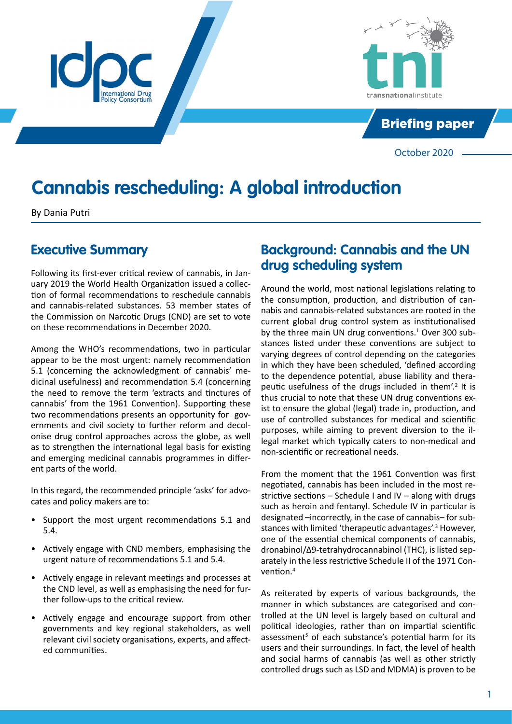

# **Cannabis rescheduling: A global introduction**

By Dania Putri

## **Executive Summary**

Following its first-ever critical review of cannabis, in January 2019 the World Health Organization issued a collection of formal recommendations to reschedule cannabis and cannabis-related substances. 53 member states of the Commission on Narcotic Drugs (CND) are set to vote on these recommendations in December 2020.

Among the WHO's recommendations, two in particular appear to be the most urgent: namely recommendation 5.1 (concerning the acknowledgment of cannabis' medicinal usefulness) and recommendation 5.4 (concerning the need to remove the term 'extracts and tinctures of cannabis' from the 1961 Convention). Supporting these two recommendations presents an opportunity for governments and civil society to further reform and decolonise drug control approaches across the globe, as well as to strengthen the international legal basis for existing and emerging medicinal cannabis programmes in different parts of the world.

In this regard, the recommended principle 'asks' for advocates and policy makers are to:

- Support the most urgent recommendations 5.1 and 5.4.
- Actively engage with CND members, emphasising the urgent nature of recommendations 5.1 and 5.4.
- Actively engage in relevant meetings and processes at the CND level, as well as emphasising the need for further follow-ups to the critical review.
- Actively engage and encourage support from other governments and key regional stakeholders, as well relevant civil society organisations, experts, and affected communities.

## **Background: Cannabis and the UN drug scheduling system**

Around the world, most national legislations relating to the consumption, production, and distribution of cannabis and cannabis-related substances are rooted in the current global drug control system as institutionalised by the three main UN drug conventions.<sup>1</sup> Over 300 substances listed under these conventions are subject to varying degrees of control depending on the categories in which they have been scheduled, 'defined according to the dependence potential, abuse liability and therapeutic usefulness of the drugs included in them'.<sup>2</sup> It is thus crucial to note that these UN drug conventions exist to ensure the global (legal) trade in, production, and use of controlled substances for medical and scientific purposes, while aiming to prevent diversion to the illegal market which typically caters to non-medical and non-scientific or recreational needs.

From the moment that the 1961 Convention was first negotiated, cannabis has been included in the most restrictive sections – Schedule I and IV – along with drugs such as heroin and fentanyl. Schedule IV in particular is designated –incorrectly, in the case of cannabis– for substances with limited 'therapeutic advantages'.<sup>3</sup> However, one of the essential chemical components of cannabis, dronabinol/Δ9-tetrahydrocannabinol (THC), is listed separately in the less restrictive Schedule II of the 1971 Convention.<sup>4</sup>

As reiterated by experts of various backgrounds, the manner in which substances are categorised and controlled at the UN level is largely based on cultural and political ideologies, rather than on impartial scientific assessment<sup>5</sup> of each substance's potential harm for its users and their surroundings. In fact, the level of health and social harms of cannabis (as well as other strictly controlled drugs such as LSD and MDMA) is proven to be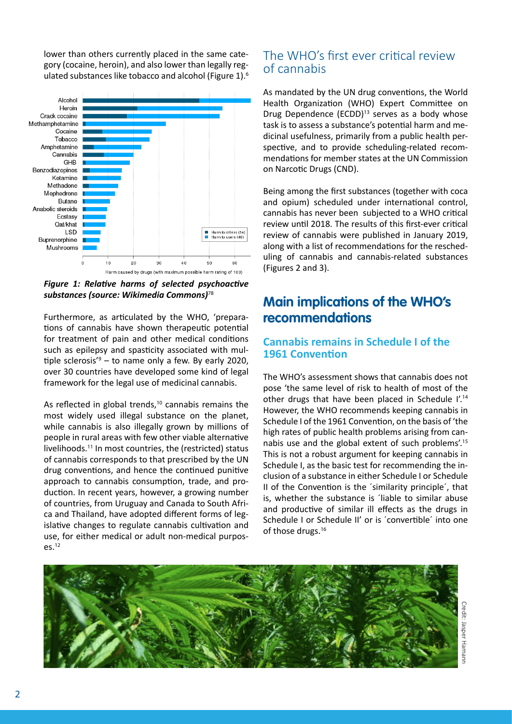lower than others currently placed in the same category (cocaine, heroin), and also lower than legally regulated substances like tobacco and alcohol (Figure 1).<sup>6</sup>



*Figure 1: Relative harms of selected psychoactive substances (source: Wikimedia Commons)*<sup>78</sup>

Furthermore, as articulated by the WHO, 'preparations of cannabis have shown therapeutic potential for treatment of pain and other medical conditions such as epilepsy and spasticity associated with multiple sclerosis'<sup>9</sup> – to name only a few. By early 2020, over 30 countries have developed some kind of legal framework for the legal use of medicinal cannabis.

As reflected in global trends, $10$  cannabis remains the most widely used illegal substance on the planet, while cannabis is also illegally grown by millions of people in rural areas with few other viable alternative livelihoods.<sup>11</sup> In most countries, the (restricted) status of cannabis corresponds to that prescribed by the UN drug conventions, and hence the continued punitive approach to cannabis consumption, trade, and production. In recent years, however, a growing number of countries, from Uruguay and Canada to South Africa and Thailand, have adopted different forms of legislative changes to regulate cannabis cultivation and use, for either medical or adult non-medical purpos $es.12$ 

### The WHO's first ever critical review of cannabis

As mandated by the UN drug conventions, the World Health Organization (WHO) Expert Committee on Drug Dependence (ECDD)<sup>13</sup> serves as a body whose task is to assess a substance's potential harm and medicinal usefulness, primarily from a public health perspective, and to provide scheduling-related recommendations for member states at the UN Commission on Narcotic Drugs (CND).

Being among the first substances (together with coca and opium) scheduled under international control, cannabis has never been subjected to a WHO critical review until 2018. The results of this first-ever critical review of cannabis were published in January 2019, along with a list of recommendations for the rescheduling of cannabis and cannabis-related substances (Figures 2 and 3).

## **Main implications of the WHO's recommendations**

### **Cannabis remains in Schedule I of the 1961 Convention**

The WHO's assessment shows that cannabis does not pose 'the same level of risk to health of most of the other drugs that have been placed in Schedule I'.<sup>14</sup> However, the WHO recommends keeping cannabis in Schedule I of the 1961 Convention, on the basis of 'the high rates of public health problems arising from cannabis use and the global extent of such problems'.<sup>15</sup> This is not a robust argument for keeping cannabis in Schedule I, as the basic test for recommending the inclusion of a substance in either Schedule I or Schedule II of the Convention is the ´similarity principle´, that is, whether the substance is ´liable to similar abuse and productive of similar ill effects as the drugs in Schedule I or Schedule II' or is ´convertible´ into one of those drugs.<sup>16</sup>

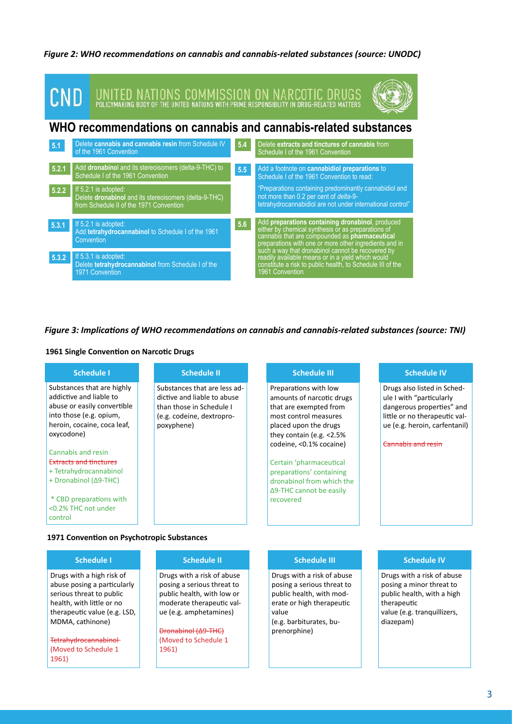#### *Figure 2: WHO recommendations on cannabis and cannabis-related substances (source: UNODC)*

| CND                                                             |            | UNITED NATIONS COMMISSION ON NARCOTIC DRUGS<br>POLICYMAKING BODY OF THE UNITED NATIONS WITH PRIME RESPONSIBLITY IN DRUG-RELATED MATTERS |     |                                                                                                                                                                                                                                                                                                                                                                                                               |  |  |
|-----------------------------------------------------------------|------------|-----------------------------------------------------------------------------------------------------------------------------------------|-----|---------------------------------------------------------------------------------------------------------------------------------------------------------------------------------------------------------------------------------------------------------------------------------------------------------------------------------------------------------------------------------------------------------------|--|--|
| WHO recommendations on cannabis and cannabis-related substances |            |                                                                                                                                         |     |                                                                                                                                                                                                                                                                                                                                                                                                               |  |  |
| 5.1                                                             |            | Delete cannabis and cannabis resin from Schedule IV<br>of the 1961 Convention                                                           | 5.4 | Delete extracts and tinctures of cannabis from<br>Schedule I of the 1961 Convention                                                                                                                                                                                                                                                                                                                           |  |  |
| 5.2.1                                                           |            | Add dronabinol and its stereoisomers (delta-9-THC) to<br>Schedule I of the 1961 Convention                                              | 5.5 | Add a footnote on cannabidiol preparations to<br>Schedule I of the 1961 Convention to read:                                                                                                                                                                                                                                                                                                                   |  |  |
| 5.2.2                                                           |            | If 5.2.1 is adopted:<br>Delete dronabinol and its stereoisomers (delta-9-THC)<br>from Schedule II of the 1971 Convention                |     | "Preparations containing predominantly cannabidiol and<br>not more than 0.2 per cent of delta-9-<br>tetrahydrocannabidiol are not under international control"                                                                                                                                                                                                                                                |  |  |
| 5.3.1                                                           | Convention | If 5.2.1 is adopted:<br>Add tetrahydrocannabinol to Schedule I of the 1961                                                              | 5.6 | Add preparations containing dronabinol, produced<br>either by chemical synthesis or as preparations of<br>cannabis that are compounded as pharmaceutical<br>preparations with one or more other ingredients and in<br>such a way that dronabinol cannot be recovered by<br>readily available means or in a yield which would<br>constitute a risk to public health, to Schedule III of the<br>1961 Convention |  |  |
| 5.3.2                                                           |            | If 5.3.1 is adopted:<br>Delete tetrahydrocannabinol from Schedule I of the<br>1971 Convention                                           |     |                                                                                                                                                                                                                                                                                                                                                                                                               |  |  |

#### *Figure 3: Implications of WHO recommendations on cannabis and cannabis-related substances (source: TNI)*

#### **1961 Single Convention on Narcotic Drugs**

| <b>Schedule I</b>                                                                                                                                                                                                                                                     | <b>Schedule II</b>                                                                                                                 | <b>Schedule III</b>                                                                                                                                                                                                                                                                                             | <b>Schedule IV</b>                                                                                                                                                           |
|-----------------------------------------------------------------------------------------------------------------------------------------------------------------------------------------------------------------------------------------------------------------------|------------------------------------------------------------------------------------------------------------------------------------|-----------------------------------------------------------------------------------------------------------------------------------------------------------------------------------------------------------------------------------------------------------------------------------------------------------------|------------------------------------------------------------------------------------------------------------------------------------------------------------------------------|
| Substances that are highly<br>addictive and liable to<br>abuse or easily convertible<br>into those (e.g. opium,<br>heroin, cocaine, coca leaf,<br>oxycodone)<br>Cannabis and resin<br><b>Extracts and tinctures</b><br>+Tetrahydrocannabinol<br>+ Dronabinol (Δ9-THC) | Substances that are less ad-<br>dictive and liable to abuse<br>than those in Schedule I<br>(e.g. codeine, dextropro-<br>poxyphene) | Preparations with low<br>amounts of narcotic drugs<br>that are exempted from<br>most control measures<br>placed upon the drugs<br>they contain (e.g. $<$ 2.5%<br>codeine, <0.1% cocaine)<br>Certain 'pharmaceutical<br>preparations' containing<br>dronabinol from which the<br>$\Delta$ 9-THC cannot be easily | Drugs also listed in Sched-<br>ule I with "particularly<br>dangerous properties" and<br>little or no therapeutic val-<br>ue (e.g. heroin, carfentanil)<br>Cannabis and resin |
| * CBD preparations with<br><0.2% THC not under<br>control<br>1971 Convention on Psychotropic Substances                                                                                                                                                               |                                                                                                                                    | recovered                                                                                                                                                                                                                                                                                                       |                                                                                                                                                                              |
| <b>Schedule I</b>                                                                                                                                                                                                                                                     | <b>Schedule II</b>                                                                                                                 | <b>Schedule III</b>                                                                                                                                                                                                                                                                                             | <b>Schedule IV</b>                                                                                                                                                           |

#### Drugs with a high risk of abuse posing a particularly serious threat to public health, with little or no therapeutic value (e.g. LSD, MDMA, cathinone)

Tetrahydrocannabinol (Moved to Schedule 1 1961)

#### **Schedule II**

Drugs with a risk of abuse posing a serious threat to public health, with low or moderate therapeutic value (e.g. amphetamines)

Dronabinol (Δ9-THC) (Moved to Schedule 1 1961)

#### **Schedule III**

Drugs with a risk of abuse posing a serious threat to public health, with moderate or high therapeutic value

(e.g. barbiturates, buprenorphine)

#### **Schedule IV**

Drugs with a risk of abuse posing a minor threat to public health, with a high therapeutic value (e.g. tranquillizers, diazepam)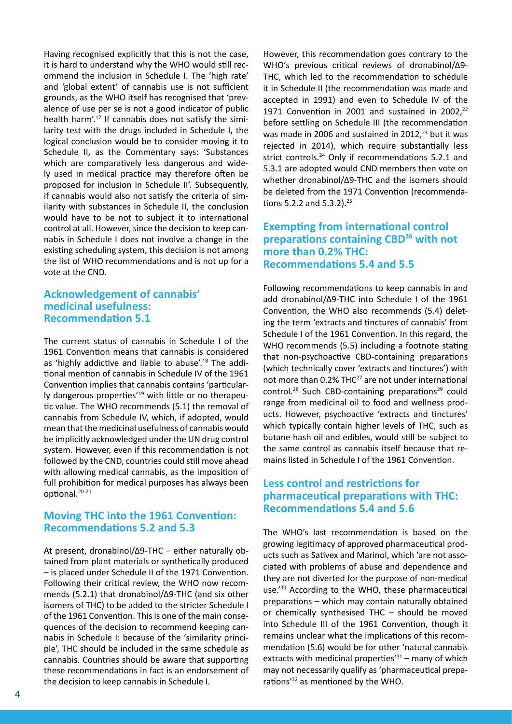Having recognised explicitly that this is not the case, it is hard to understand why the WHO would still recommend the inclusion in Schedule I. The 'high rate' and 'global extent' of cannabis use is not sufficient grounds, as the WHO itself has recognised that 'prevalence of use per se is not a good indicator of public health harm'.17 If cannabis does not satisfy the similarity test with the drugs included in Schedule I, the logical conclusion would be to consider moving it to Schedule II, as the Commentary says: 'Substances which are comparatively less dangerous and widely used in medical practice may therefore often be proposed for inclusion in Schedule II'. Subsequently, if cannabis would also not satisfy the criteria of similarity with substances in Schedule II, the conclusion would have to be not to subject it to international control at all. However, since the decision to keep cannabis in Schedule I does not involve a change in the existing scheduling system, this decision is not among the list of WHO recommendations and is not up for a vote at the CND.

### **Acknowledgement of cannabis' medicinal usefulness: Recommendation 5.1**

The current status of cannabis in Schedule I of the 1961 Convention means that cannabis is considered as 'highly addictive and liable to abuse'.18 The additional mention of cannabis in Schedule IV of the 1961 Convention implies that cannabis contains 'particularly dangerous properties'19 with little or no therapeutic value. The WHO recommends (5.1) the removal of cannabis from Schedule IV, which, if adopted, would mean that the medicinal usefulness of cannabis would be implicitly acknowledged under the UN drug control system. However, even if this recommendation is not followed by the CND, countries could still move ahead with allowing medical cannabis, as the imposition of full prohibition for medical purposes has always been optional.<sup>20</sup> <sup>21</sup>

### **Moving THC into the 1961 Convention: Recommendations 5.2 and 5.3**

At present, dronabinol/Δ9-THC – either naturally obtained from plant materials or synthetically produced – is placed under Schedule II of the 1971 Convention. Following their critical review, the WHO now recommends (5.2.1) that dronabinol/Δ9-THC (and six other isomers of THC) to be added to the stricter Schedule I of the 1961 Convention. This is one of the main consequences of the decision to recommend keeping cannabis in Schedule I: because of the 'similarity principle', THC should be included in the same schedule as cannabis. Countries should be aware that supporting these recommendations in fact is an endorsement of the decision to keep cannabis in Schedule I.

However, this recommendation goes contrary to the WHO's previous critical reviews of dronabinol/Δ9- THC, which led to the recommendation to schedule it in Schedule II (the recommendation was made and accepted in 1991) and even to Schedule IV of the 1971 Convention in 2001 and sustained in  $2002<sup>22</sup>$ before settling on Schedule III (the recommendation was made in 2006 and sustained in  $2012<sup>23</sup>$  but it was rejected in 2014), which require substantially less strict controls.<sup>24</sup> Only if recommendations 5.2.1 and 5.3.1 are adopted would CND members then vote on whether dronabinol/Δ9-THC and the isomers should be deleted from the 1971 Convention (recommendations 5.2.2 and 5.3.2). $25$ 

### **Exempting from international control preparations containing CBD26 with not more than 0.2% THC: Recommendations 5.4 and 5.5**

Following recommendations to keep cannabis in and add dronabinol/Δ9-THC into Schedule I of the 1961 Convention, the WHO also recommends (5.4) deleting the term 'extracts and tinctures of cannabis' from Schedule I of the 1961 Convention. In this regard, the WHO recommends (5.5) including a footnote stating that non-psychoactive CBD-containing preparations (which technically cover 'extracts and tinctures') with not more than 0.2% THC<sup>27</sup> are not under international control.<sup>28</sup> Such CBD-containing preparations<sup>29</sup> could range from medicinal oil to food and wellness products. However, psychoactive 'extracts and tinctures' which typically contain higher levels of THC, such as butane hash oil and edibles, would still be subject to the same control as cannabis itself because that remains listed in Schedule I of the 1961 Convention.

### **Less control and restrictions for pharmaceutical preparations with THC: Recommendations 5.4 and 5.6**

The WHO's last recommendation is based on the growing legitimacy of approved pharmaceutical products such as Sativex and Marinol, which 'are not associated with problems of abuse and dependence and they are not diverted for the purpose of non-medical use.'<sup>30</sup> According to the WHO, these pharmaceutical preparations – which may contain naturally obtained or chemically synthesised THC – should be moved into Schedule III of the 1961 Convention, though it remains unclear what the implications of this recommendation (5.6) would be for other 'natural cannabis extracts with medicinal properties $31$  – many of which may not necessarily qualify as 'pharmaceutical preparations'32 as mentioned by the WHO.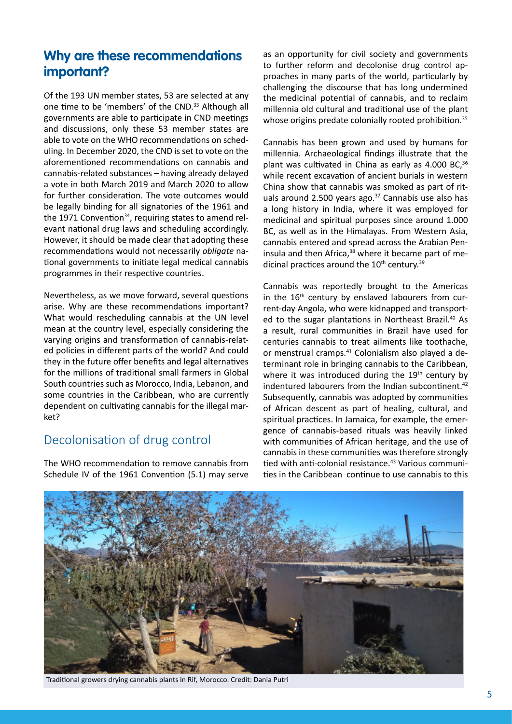## **Why are these recommendations important?**

Of the 193 UN member states, 53 are selected at any one time to be 'members' of the CND.<sup>33</sup> Although all governments are able to participate in CND meetings and discussions, only these 53 member states are able to vote on the WHO recommendations on scheduling. In December 2020, the CND is set to vote on the aforementioned recommendations on cannabis and cannabis-related substances – having already delayed a vote in both March 2019 and March 2020 to allow for further consideration. The vote outcomes would be legally binding for all signatories of the 1961 and the 1971 Convention<sup>34</sup>, requiring states to amend relevant national drug laws and scheduling accordingly. However, it should be made clear that adopting these recommendations would not necessarily *obligate* national governments to initiate legal medical cannabis programmes in their respective countries.

Nevertheless, as we move forward, several questions arise. Why are these recommendations important? What would rescheduling cannabis at the UN level mean at the country level, especially considering the varying origins and transformation of cannabis-related policies in different parts of the world? And could they in the future offer benefits and legal alternatives for the millions of traditional small farmers in Global South countries such as Morocco, India, Lebanon, and some countries in the Caribbean, who are currently dependent on cultivating cannabis for the illegal market?

### Decolonisation of drug control

The WHO recommendation to remove cannabis from Schedule IV of the 1961 Convention (5.1) may serve as an opportunity for civil society and governments to further reform and decolonise drug control approaches in many parts of the world, particularly by challenging the discourse that has long undermined the medicinal potential of cannabis, and to reclaim millennia old cultural and traditional use of the plant whose origins predate colonially rooted prohibition.<sup>35</sup>

Cannabis has been grown and used by humans for millennia. Archaeological findings illustrate that the plant was cultivated in China as early as 4.000 BC,<sup>36</sup> while recent excavation of ancient burials in western China show that cannabis was smoked as part of rituals around 2.500 years ago.<sup>37</sup> Cannabis use also has a long history in India, where it was employed for medicinal and spiritual purposes since around 1.000 BC, as well as in the Himalayas. From Western Asia, cannabis entered and spread across the Arabian Peninsula and then Africa,<sup>38</sup> where it became part of medicinal practices around the  $10^{th}$  century.<sup>39</sup>

Cannabis was reportedly brought to the Americas in the  $16<sup>th</sup>$  century by enslaved labourers from current-day Angola, who were kidnapped and transported to the sugar plantations in Northeast Brazil.<sup>40</sup> As a result, rural communities in Brazil have used for centuries cannabis to treat ailments like toothache, or menstrual cramps.41 Colonialism also played a determinant role in bringing cannabis to the Caribbean, where it was introduced during the  $19<sup>th</sup>$  century by indentured labourers from the Indian subcontinent.<sup>42</sup> Subsequently, cannabis was adopted by communities of African descent as part of healing, cultural, and spiritual practices. In Jamaica, for example, the emergence of cannabis-based rituals was heavily linked with communities of African heritage, and the use of cannabis in these communities was therefore strongly tied with anti-colonial resistance.<sup>43</sup> Various communities in the Caribbean continue to use cannabis to this



Traditional growers drying cannabis plants in Rif, Morocco. Credit: Dania Putri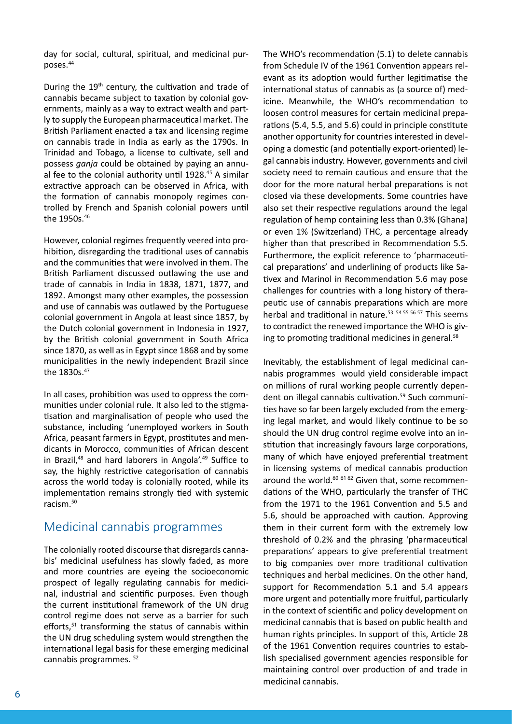day for social, cultural, spiritual, and medicinal purposes.<sup>44</sup>

During the 19<sup>th</sup> century, the cultivation and trade of cannabis became subject to taxation by colonial governments, mainly as a way to extract wealth and partly to supply the European pharmaceutical market. The British Parliament enacted a tax and licensing regime on cannabis trade in India as early as the 1790s. In Trinidad and Tobago, a license to cultivate, sell and possess *ganja* could be obtained by paying an annual fee to the colonial authority until 1928.<sup>45</sup> A similar extractive approach can be observed in Africa, with the formation of cannabis monopoly regimes controlled by French and Spanish colonial powers until the 1950s.<sup>46</sup>

However, colonial regimes frequently veered into prohibition, disregarding the traditional uses of cannabis and the communities that were involved in them. The British Parliament discussed outlawing the use and trade of cannabis in India in 1838, 1871, 1877, and 1892. Amongst many other examples, the possession and use of cannabis was outlawed by the Portuguese colonial government in Angola at least since 1857, by the Dutch colonial government in Indonesia in 1927, by the British colonial government in South Africa since 1870, as well as in Egypt since 1868 and by some municipalities in the newly independent Brazil since the 1830s.<sup>47</sup>

In all cases, prohibition was used to oppress the communities under colonial rule. It also led to the stigmatisation and marginalisation of people who used the substance, including 'unemployed workers in South Africa, peasant farmers in Egypt, prostitutes and mendicants in Morocco, communities of African descent in Brazil,<sup>48</sup> and hard laborers in Angola'.<sup>49</sup> Suffice to say, the highly restrictive categorisation of cannabis across the world today is colonially rooted, while its implementation remains strongly tied with systemic racism.<sup>50</sup>

### Medicinal cannabis programmes

The colonially rooted discourse that disregards cannabis' medicinal usefulness has slowly faded, as more and more countries are eyeing the socioeconomic prospect of legally regulating cannabis for medicinal, industrial and scientific purposes. Even though the current institutional framework of the UN drug control regime does not serve as a barrier for such efforts,<sup>51</sup> transforming the status of cannabis within the UN drug scheduling system would strengthen the international legal basis for these emerging medicinal cannabis programmes. <sup>52</sup>

The WHO's recommendation (5.1) to delete cannabis from Schedule IV of the 1961 Convention appears relevant as its adoption would further legitimatise the international status of cannabis as (a source of) medicine. Meanwhile, the WHO's recommendation to loosen control measures for certain medicinal preparations (5.4, 5.5, and 5.6) could in principle constitute another opportunity for countries interested in developing a domestic (and potentially export-oriented) legal cannabis industry. However, governments and civil society need to remain cautious and ensure that the door for the more natural herbal preparations is not closed via these developments. Some countries have also set their respective regulations around the legal regulation of hemp containing less than 0.3% (Ghana) or even 1% (Switzerland) THC, a percentage already higher than that prescribed in Recommendation 5.5. Furthermore, the explicit reference to 'pharmaceutical preparations' and underlining of products like Sativex and Marinol in Recommendation 5.6 may pose challenges for countries with a long history of therapeutic use of cannabis preparations which are more herbal and traditional in nature.<sup>53</sup> <sup>54 55 56 57</sup> This seems to contradict the renewed importance the WHO is giving to promoting traditional medicines in general.<sup>58</sup>

Inevitably, the establishment of legal medicinal cannabis programmes would yield considerable impact on millions of rural working people currently dependent on illegal cannabis cultivation.<sup>59</sup> Such communities have so far been largely excluded from the emerging legal market, and would likely continue to be so should the UN drug control regime evolve into an institution that increasingly favours large corporations, many of which have enjoyed preferential treatment in licensing systems of medical cannabis production around the world.<sup>60 61 62</sup> Given that, some recommendations of the WHO, particularly the transfer of THC from the 1971 to the 1961 Convention and 5.5 and 5.6, should be approached with caution. Approving them in their current form with the extremely low threshold of 0.2% and the phrasing 'pharmaceutical preparations' appears to give preferential treatment to big companies over more traditional cultivation techniques and herbal medicines. On the other hand, support for Recommendation 5.1 and 5.4 appears more urgent and potentially more fruitful, particularly in the context of scientific and policy development on medicinal cannabis that is based on public health and human rights principles. In support of this, Article 28 of the 1961 Convention requires countries to establish specialised government agencies responsible for maintaining control over production of and trade in medicinal cannabis.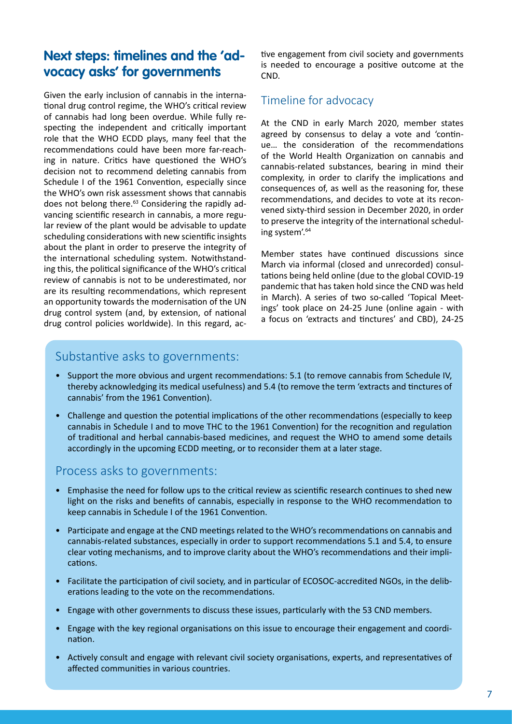## **Next steps: timelines and the 'advocacy asks' for governments**

Given the early inclusion of cannabis in the international drug control regime, the WHO's critical review of cannabis had long been overdue. While fully respecting the independent and critically important role that the WHO ECDD plays, many feel that the recommendations could have been more far-reaching in nature. Critics have questioned the WHO's decision not to recommend deleting cannabis from Schedule I of the 1961 Convention, especially since the WHO's own risk assessment shows that cannabis does not belong there.<sup>63</sup> Considering the rapidly advancing scientific research in cannabis, a more regular review of the plant would be advisable to update scheduling considerations with new scientific insights about the plant in order to preserve the integrity of the international scheduling system. Notwithstanding this, the political significance of the WHO's critical review of cannabis is not to be underestimated, nor are its resulting recommendations, which represent an opportunity towards the modernisation of the UN drug control system (and, by extension, of national drug control policies worldwide). In this regard, active engagement from civil society and governments is needed to encourage a positive outcome at the CND.

### Timeline for advocacy

At the CND in early March 2020, member states agreed by consensus to delay a vote and 'continue… the consideration of the recommendations of the World Health Organization on cannabis and cannabis-related substances, bearing in mind their complexity, in order to clarify the implications and consequences of, as well as the reasoning for, these recommendations, and decides to vote at its reconvened sixty-third session in December 2020, in order to preserve the integrity of the international scheduling system'.<sup>64</sup>

Member states have continued discussions since March via informal (closed and unrecorded) consultations being held online (due to the global COVID-19 pandemic that has taken hold since the CND was held in March). A series of two so-called 'Topical Meetings' took place on 24-25 June (online again - with a focus on 'extracts and tinctures' and CBD), 24-25

### Substantive asks to governments:

- Support the more obvious and urgent recommendations: 5.1 (to remove cannabis from Schedule IV, thereby acknowledging its medical usefulness) and 5.4 (to remove the term 'extracts and tinctures of cannabis' from the 1961 Convention).
- Challenge and question the potential implications of the other recommendations (especially to keep cannabis in Schedule I and to move THC to the 1961 Convention) for the recognition and regulation of traditional and herbal cannabis-based medicines, and request the WHO to amend some details accordingly in the upcoming ECDD meeting, or to reconsider them at a later stage.

### Process asks to governments:

- Emphasise the need for follow ups to the critical review as scientific research continues to shed new light on the risks and benefits of cannabis, especially in response to the WHO recommendation to keep cannabis in Schedule I of the 1961 Convention.
- Participate and engage at the CND meetings related to the WHO's recommendations on cannabis and cannabis-related substances, especially in order to support recommendations 5.1 and 5.4, to ensure clear voting mechanisms, and to improve clarity about the WHO's recommendations and their implications.
- Facilitate the participation of civil society, and in particular of ECOSOC-accredited NGOs, in the deliberations leading to the vote on the recommendations.
- Engage with other governments to discuss these issues, particularly with the 53 CND members.
- Engage with the key regional organisations on this issue to encourage their engagement and coordination.
- Actively consult and engage with relevant civil society organisations, experts, and representatives of affected communities in various countries.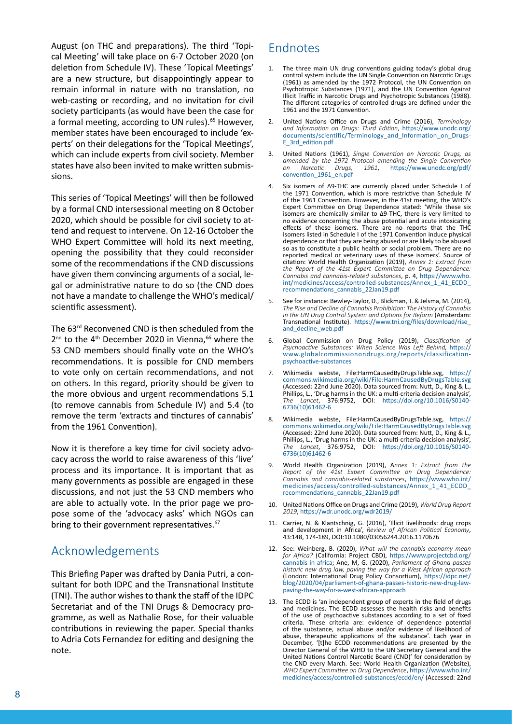August (on THC and preparations). The third 'Topical Meeting' will take place on 6-7 October 2020 (on deletion from Schedule IV). These 'Topical Meetings' are a new structure, but disappointingly appear to remain informal in nature with no translation, no web-casting or recording, and no invitation for civil society participants (as would have been the case for a formal meeting, according to UN rules).<sup>65</sup> However, member states have been encouraged to include 'experts' on their delegations for the 'Topical Meetings', which can include experts from civil society. Member states have also been invited to make written submissions.

This series of 'Topical Meetings' will then be followed by a formal CND intersessional meeting on 8 October 2020, which should be possible for civil society to attend and request to intervene. On 12-16 October the WHO Expert Committee will hold its next meeting, opening the possibility that they could reconsider some of the recommendations if the CND discussions have given them convincing arguments of a social, legal or administrative nature to do so (the CND does not have a mandate to challenge the WHO's medical/ scientific assessment).

The 63<sup>rd</sup> Reconvened CND is then scheduled from the  $2^{nd}$  to the 4<sup>th</sup> December 2020 in Vienna,<sup>66</sup> where the 53 CND members should finally vote on the WHO's recommendations. It is possible for CND members to vote only on certain recommendations, and not on others. In this regard, priority should be given to the more obvious and urgent recommendations 5.1 (to remove cannabis from Schedule IV) and 5.4 (to remove the term 'extracts and tinctures of cannabis' from the 1961 Convention).

Now it is therefore a key time for civil society advocacy across the world to raise awareness of this 'live' process and its importance. It is important that as many governments as possible are engaged in these discussions, and not just the 53 CND members who are able to actually vote. In the prior page we propose some of the 'advocacy asks' which NGOs can bring to their government representatives.<sup>67</sup>

## Acknowledgements

This Briefing Paper was drafted by Dania Putri, a consultant for both IDPC and the Transnational Institute (TNI). The author wishes to thank the staff of the IDPC Secretariat and of the TNI Drugs & Democracy programme, as well as Nathalie Rose, for their valuable contributions in reviewing the paper. Special thanks to Adria Cots Fernandez for editing and designing the note.

## Endnotes

- 1. The three main UN drug conventions guiding today's global drug control system include the UN Single Convention on Narcotic Drugs (1961) as amended by the 1972 Protocol, the UN Convention on Psychotropic Substances (1971), and the UN Convention Against Illicit Traffic in Narcotic Drugs and Psychotropic Substances (1988). The different categories of controlled drugs are defined under the 1961 and the 1971 Convention.
- 2. United Nations Office on Drugs and Crime (2016), *Terminology and Information on Drugs: Third Edition*, [https://www.unodc.org/](https://www.unodc.org/documents/scientific/Terminology_and_Information_on_Drugs-E_3rd_edition.pdf) [documents/scientific/Terminology\\_and\\_Information\\_on\\_Drugs-](https://www.unodc.org/documents/scientific/Terminology_and_Information_on_Drugs-E_3rd_edition.pdf)[E\\_3rd\\_edition.pdf](https://www.unodc.org/documents/scientific/Terminology_and_Information_on_Drugs-E_3rd_edition.pdf)
- 3. United Nations (1961), *Single Convention on Narcotic Drugs, as amended by the 1972 Protocol amending the Single Convention on Narcotic Drugs, 1961*, [https://www.unodc.org/pdf/](https://www.unodc.org/pdf/convention_1961_en.pdf) on Narcotic Drugs,<br>[convention\\_1961\\_en.pdf](https://www.unodc.org/pdf/convention_1961_en.pdf)
- 4. Six isomers of Δ9-THC are currently placed under Schedule I of the 1971 Convention, which is more restrictive than Schedule IV of the 1961 Convention. However, in the 41st meeting, the WHO's Expert Committee on Drug Dependence stated: 'While these six isomers are chemically similar to Δ9-THC, there is very limited to no evidence concerning the abuse potential and acute intoxicating effects of these isomers. There are no reports that the THC isomers listed in Schedule I of the 1971 Convention induce physical dependence or that they are being abused or are likely to be abused so as to constitute a public health or social problem. There are no reported medical or veterinary uses of these isomers'. Source of citation: World Health Organization (2019), *Annex 1: Extract from the Report of the 41st Expert Committee on Drug Dependence: Cannabis and cannabis-related substances*, p. 4, [https://www.who.](https://www.who.int/medicines/access/controlled-substances/Annex_1_41_ECDD_recommendations_cannabis_22Jan19.pdf) [int/medicines/access/controlled-substances/Annex\\_1\\_41\\_ECDD\\_](https://www.who.int/medicines/access/controlled-substances/Annex_1_41_ECDD_recommendations_cannabis_22Jan19.pdf) [recommendations\\_cannabis\\_22Jan19.pdf](https://www.who.int/medicines/access/controlled-substances/Annex_1_41_ECDD_recommendations_cannabis_22Jan19.pdf)
- 5. See for instance: Bewley-Taylor, D., Blickman, T. & Jelsma, M. (2014), *The Rise and Decline of Cannabis Prohibition: The History of Cannabis in the UN Drug Control System and Options for Reform* (Amsterdam: Transnational Institute). [https://www.tni.org/files/download/rise\\_](https://www.tni.org/files/download/rise_and_decline_web.pdf) [and\\_decline\\_web.pdf](https://www.tni.org/files/download/rise_and_decline_web.pdf)
- 6. Global Commission on Drug Policy (2019), *Classification of Psychoactive Substances: When Science Was Left Behind*, [https://](https://www.globalcommissionondrugs.org/reports/classification-psychoactive-substances) [www.globalcommissionondrugs.org/reports/classification](https://www.globalcommissionondrugs.org/reports/classification-psychoactive-substances)[psychoactive-substances](https://www.globalcommissionondrugs.org/reports/classification-psychoactive-substances)
- 7. Wikimedia webste, File:HarmCausedByDrugsTable.svg, [https://](https://commons.wikimedia.org/wiki/File:HarmCausedByDrugsTable.svg) [commons.wikimedia.org/wiki/File:HarmCausedByDrugsTable.svg](https://commons.wikimedia.org/wiki/File:HarmCausedByDrugsTable.svg) (Accessed: 22nd June 2020). Data sourced from: Nutt, D., King & L., Phillips, L., 'Drug harms in the UK: a multi-criteria decision analysis', *The Lancet*, 376:9752, DOI: [https://doi.org/10.1016/S0140-](https://doi.org/10.1016/S0140-6736(10)61462-6) [6736\(10\)61462-6](https://doi.org/10.1016/S0140-6736(10)61462-6)
- 8. Wikimedia webste, File:HarmCausedByDrugsTable.svg, [https://](https://commons.wikimedia.org/wiki/File:HarmCausedByDrugsTable.svg) [commons.wikimedia.org/wiki/File:HarmCausedByDrugsTable.svg](https://commons.wikimedia.org/wiki/File:HarmCausedByDrugsTable.svg) (Accessed: 22nd June 2020). Data sourced from: Nutt, D., King & L., Phillips, L., 'Drug harms in the UK: a multi-criteria decision analysis', *The Lancet*, 376:9752, DOI: [https://doi.org/10.1016/S0140-](https://doi.org/10.1016/S0140-6736(10)61462-6) [6736\(10\)61462-6](https://doi.org/10.1016/S0140-6736(10)61462-6)
- 9. World Health Organization (2019), A*nnex 1: Extract from the Report of the 41st Expert Committee on Drug Dependence: Cannabis and cannabis-related substances*, [https://www.who.int/](https://www.who.int/medicines/access/controlled-substances/Annex_1_41_ECDD_recommendations_cannabis_22Jan19.pdf) [medicines/access/controlled-substances/Annex\\_1\\_41\\_ECDD\\_](https://www.who.int/medicines/access/controlled-substances/Annex_1_41_ECDD_recommendations_cannabis_22Jan19.pdf) [recommendations\\_cannabis\\_22Jan19.pdf](https://www.who.int/medicines/access/controlled-substances/Annex_1_41_ECDD_recommendations_cannabis_22Jan19.pdf)
- 10. United Nations Office on Drugs and Crime (2019), *World Drug Report 2019*,<https://wdr.unodc.org/wdr2019/>
- 11. Carrier, N. & Klantschnig, G. (2016), 'Illicit livelihoods: drug crops and development in Africa', *Review of African Political Economy*, 43:148, 174-189, DOI:10.1080/03056244.2016.1170676
- 12. See: Weinberg, B. (2020), *What will the cannabis economy mean for Africa?* (California: Project CBD), [https://www.projectcbd.org/](https://www.projectcbd.org/cannabis-in-africa) [cannabis-in-africa;](https://www.projectcbd.org/cannabis-in-africa) Ane, M, G. (2020), *Parliament of Ghana passes historic new drug law, paving the way for a West African approach*  (London: International Drug Policy Consortium), [https://idpc.net/](https://idpc.net/blog/2020/04/parliament-of-ghana-passes-historic-new-drug-law-paving-the-way-for-a-west-african-approach) [blog/2020/04/parliament-of-ghana-passes-historic-new-drug-law](https://idpc.net/blog/2020/04/parliament-of-ghana-passes-historic-new-drug-law-paving-the-way-for-a-west-african-approach)[paving-the-way-for-a-west-african-approach](https://idpc.net/blog/2020/04/parliament-of-ghana-passes-historic-new-drug-law-paving-the-way-for-a-west-african-approach)
- 13. The ECDD is 'an independent group of experts in the field of drugs and medicines. The ECDD assesses the health risks and benefits of the use of psychoactive substances according to a set of fixed criteria. These criteria are: evidence of dependence potential of the substance, actual abuse and/or evidence of likelihood of abuse, therapeutic applications of the substance'. Each year in December, '[t]he ECDD recommendations are presented by the Director General of the WHO to the UN Secretary General and the United Nations Control Narcotic Board (CND)' for consideration by the CND every March. See: World Health Organization (Website), *WHO Expert Committee on Drug Dependence*, [https://www.who.int/](https://www.who.int/medicines/access/controlled-substances/ecdd/en/) [medicines/access/controlled-substances/ecdd/en/](https://www.who.int/medicines/access/controlled-substances/ecdd/en/) (Accessed: 22nd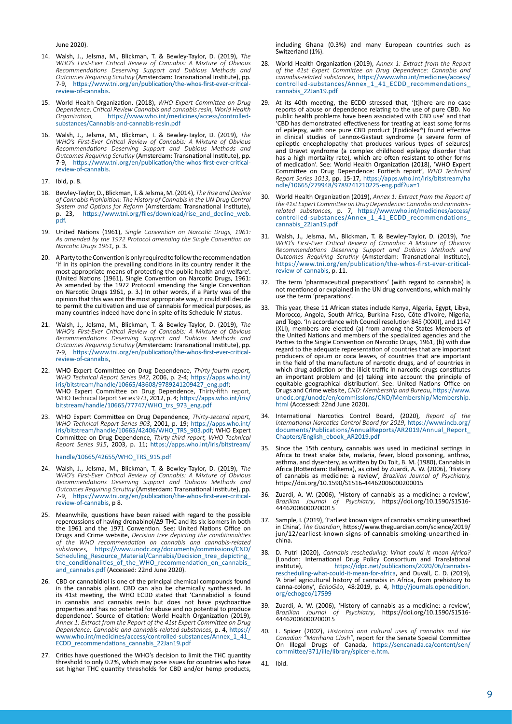June 2020).

- 14. Walsh, J., Jelsma, M., Blickman, T. & Bewley-Taylor, D. (2019), *The WHO's First-Ever Critical Review of Cannabis: A Mixture of Obvious Recommendations Deserving Support and Dubious Methods and Outcomes Requiring Scrutiny* (Amsterdam: Transnational Institute), pp. 7-9, [https://www.tni.org/en/publication/the-whos-first-ever-critical](https://www.tni.org/en/publication/the-whos-first-ever-critical-review-of-cannabis)[review-of-cannabis](https://www.tni.org/en/publication/the-whos-first-ever-critical-review-of-cannabis).
- 15. World Health Organization. (2018), *WHO Expert Committee on Drug Dependence: Critical Review Cannabis and cannabis resin, World Health Organization,* https://www.who.int/medicines/access/controlledsubstances/Cannabis-and-cannabis-resin.pdf
- 16. Walsh, J., Jelsma, M., Blickman, T. & Bewley-Taylor, D. (2019), *The WHO's First-Ever Critical Review of Cannabis: A Mixture of Obvious Recommendations Deserving Support and Dubious Methods and Outcomes Requiring Scrutiny* (Amsterdam: Transnational Institute), pp. 7-9, [https://www.tni.org/en/publication/the-whos-first-ever-critical](https://www.tni.org/en/publication/the-whos-first-ever-critical-review-of-cannabis)[review-of-cannabis](https://www.tni.org/en/publication/the-whos-first-ever-critical-review-of-cannabis).
- 17. Ibid, p. 8.
- 18. Bewley-Taylor, D., Blickman, T. & Jelsma, M. (2014), *The Rise and Decline of Cannabis Prohibition: The History of Cannabis in the UN Drug Control System and Options for Reform* (Amsterdam: Transnational Institute), [https://www.tni.org/files/download/rise\\_and\\_decline\\_web.](https://www.tni.org/files/download/rise_and_decline_web.pdf) [pdf](https://www.tni.org/files/download/rise_and_decline_web.pdf).
- 19. United Nations (1961), *Single Convention on Narcotic Drugs, 1961: As amended by the 1972 Protocol amending the Single Convention on Narcotic Drugs 1961*, p. 3.
- 20. A Party to the Convention is only required to follow the recommendation 'if in its opinion the prevailing conditions in its country render it the most appropriate means of protecting the public health and welfare'. (United Nations (1961), Single Convention on Narcotic Drugs, 1961: As amended by the 1972 Protocol amending the Single Convention on Narcotic Drugs 1961, p. 3.) In other words, if a Party was of the opinion that this was not the most appropriate way, it could still decide to permit the cultivation and use of cannabis for medical purposes, as many countries indeed have done in spite of its Schedule-IV status.
- 21. Walsh, J., Jelsma, M., Blickman, T. & Bewley-Taylor, D. (2019), *The WHO's First-Ever Critical Review of Cannabis: A Mixture of Obvious Recommendations Deserving Support and Dubious Methods and Outcomes Requiring Scrutiny* (Amsterdam: Transnational Institute), pp. 7-9, [https://www.tni.org/en/publication/the-whos-first-ever-critical](https://www.tni.org/en/publication/the-whos-first-ever-critical-review-of-cannabis)[review-of-cannabis](https://www.tni.org/en/publication/the-whos-first-ever-critical-review-of-cannabis),
- 22. WHO Expert Committee on Drug Dependence, *Thirty-fourth report, WHO Technical Report Series 942*, 2006, p. 2-4; https://apps.who.int/ iris/bitstream/handle/10665/43608/9789241209427\_eng.pdf; WHO Expert Committee on Drug Dependence, Thirty-fifth report, WHO Technical Report Series 973, 2012, p. 4; https://apps.who.int/iris/ bitstream/handle/10665/77747/WHO\_trs\_973\_eng.pdf
- 23. WHO Expert Committee on Drug Dependence, *Thirty-second report, WHO Technical Report Series 903*, 2001, p. 19; https://apps.who.int/ iris/bitstream/handle/10665/42406/WHO\_TRS\_903.pdf; WHO Expert Committee on Drug Dependence, *Thirty-third report, WHO Technical Report Series 915*, 2003, p. 11; https://apps.who.int/iris/bitstream/

#### handle/10665/42655/WHO\_TRS\_915.pdf

- 24. Walsh, J., Jelsma, M., Blickman, T. & Bewley-Taylor, D. (2019), *The WHO's First-Ever Critical Review of Cannabis: A Mixture of Obvious Recommendations Deserving Support and Dubious Methods and Outcomes Requiring Scrutiny* (Amsterdam: Transnational Institute), pp. 7-9, [https://www.tni.org/en/publication/the-whos-first-ever-critical](https://www.tni.org/en/publication/the-whos-first-ever-critical-review-of-cannabis)[review-of-cannabis](https://www.tni.org/en/publication/the-whos-first-ever-critical-review-of-cannabis), p 8.
- 25. Meanwhile, questions have been raised with regard to the possible repercussions of having dronabinol/Δ9-THC and its six isomers in both the 1961 and the 1971 Convention. See: United Nations Office on Drugs and Crime website, *Decision tree depicting the conditionalities of the WHO recommendation on cannabis and cannabis-related substances*, [https://www.unodc.org/documents/commissions/CND/](https://www.unodc.org/documents/commissions/CND/Scheduling_Resource_Material/Cannabis/Decision_tree_depicting_the_conditionalities_of_the_WHO_recommendation_on_cannabis_and_cannabis.pdf) [Scheduling\\_Resource\\_Material/Cannabis/Decision\\_tree\\_depicting\\_](https://www.unodc.org/documents/commissions/CND/Scheduling_Resource_Material/Cannabis/Decision_tree_depicting_the_conditionalities_of_the_WHO_recommendation_on_cannabis_and_cannabis.pdf) [the\\_conditionalities\\_of\\_the\\_WHO\\_recommendation\\_on\\_cannabis\\_](https://www.unodc.org/documents/commissions/CND/Scheduling_Resource_Material/Cannabis/Decision_tree_depicting_the_conditionalities_of_the_WHO_recommendation_on_cannabis_and_cannabis.pdf) [and\\_cannabis.pdf](https://www.unodc.org/documents/commissions/CND/Scheduling_Resource_Material/Cannabis/Decision_tree_depicting_the_conditionalities_of_the_WHO_recommendation_on_cannabis_and_cannabis.pdf) (Accessed: 22nd June 2020).
- 26. CBD or cannabidiol is one of the principal chemical compounds found in the cannabis plant. CBD can also be chemically synthesised. In its 41st meeting, the WHO ECDD stated that 'Cannabidiol is found in cannabis and cannabis resin but does not have psychoactive properties and has no potential for abuse and no potential to produce dependence'. Source of citation: World Health Organization (2019), *Annex 1: Extract from the Report of the 41st Expert Committee on Drug Dependence: Cannabis and cannabis-related substances*, p. 4, [https://](https://www.who.int/medicines/access/controlled-substances/Annex_1_41_ECDD_recommendations_cannabis_22Jan19.pdf) [www.who.int/medicines/access/controlled-substances/Annex\\_1\\_41\\_](https://www.who.int/medicines/access/controlled-substances/Annex_1_41_ECDD_recommendations_cannabis_22Jan19.pdf) [ECDD\\_recommendations\\_cannabis\\_22Jan19.pdf](https://www.who.int/medicines/access/controlled-substances/Annex_1_41_ECDD_recommendations_cannabis_22Jan19.pdf)
- 27. Critics have questioned the WHO's decision to limit the THC quantity threshold to only 0.2%, which may pose issues for countries who have set higher THC quantity thresholds for CBD and/or hemp products,

including Ghana (0.3%) and many European countries such as Switzerland (1%).

- 28. World Health Organization (2019), *Annex 1: Extract from the Report of the 41st Expert Committee on Drug Dependence: Cannabis and cannabis-related substances*, [https://www.who.int/medicines/access/](https://www.who.int/medicines/access/controlled-substances/Annex_1_41_ECDD_recommendations_cannabis_22Jan19.pdf) [controlled-substances/Annex\\_1\\_41\\_ECDD\\_recommendations\\_](https://www.who.int/medicines/access/controlled-substances/Annex_1_41_ECDD_recommendations_cannabis_22Jan19.pdf) [cannabis\\_22Jan19.pdf](https://www.who.int/medicines/access/controlled-substances/Annex_1_41_ECDD_recommendations_cannabis_22Jan19.pdf)
- 29. At its 40th meeting, the ECDD stressed that, '[t]here are no case reports of abuse or dependence relating to the use of pure CBD. No public health problems have been associated with CBD use' and that 'CBD has demonstrated effectiveness for treating at least some forms of epilepsy, with one pure CBD product (Epidiolex®) found effective in clinical studies of Lennox-Gastaut syndrome (a severe form of epileptic encephalopathy that produces various types of seizures) and Dravet syndrome (a complex childhood epilepsy disorder that has a high mortality rate), which are often resistant to other forms of medication'. See: World Health Organization (2018), 'WHO Expert Committee on Drug Dependence: Fortieth report', *WHO Technical Report Series 1013*, pp. 15-17, [https://apps.who.int/iris/bitstream/ha](https://apps.who.int/iris/bitstream/handle/10665/279948/9789241210225-eng.pdf?ua=1) [ndle/10665/279948/9789241210225-eng.pdf?ua=1](https://apps.who.int/iris/bitstream/handle/10665/279948/9789241210225-eng.pdf?ua=1)
- 30. World Health Organization (2019), *Annex 1: Extract from the Report of the 41st Expert Committee on Drug Dependence: Cannabis and cannabisrelated substances*, p. 7, [https://www.who.int/medicines/access/](https://www.who.int/medicines/access/controlled-substances/Annex_1_41_ECDD_recommendations_cannabis_22Jan19.pdf) [controlled-substances/Annex\\_1\\_41\\_ECDD\\_recommendations\\_](https://www.who.int/medicines/access/controlled-substances/Annex_1_41_ECDD_recommendations_cannabis_22Jan19.pdf) [cannabis\\_22Jan19.pdf](https://www.who.int/medicines/access/controlled-substances/Annex_1_41_ECDD_recommendations_cannabis_22Jan19.pdf)
- 31. Walsh, J., Jelsma, M., Blickman, T. & Bewley-Taylor, D. (2019), *The WHO's First-Ever Critical Review of Cannabis: A Mixture of Obvious Recommendations Deserving Support and Dubious Methods and Outcomes Requiring Scrutiny* (Amsterdam: Transnational Institute), [https://www.tni.org/en/publication/the-whos-first-ever-critical](https://www.tni.org/en/publication/the-whos-first-ever-critical-review-of-cannabis)[review-of-cannabis](https://www.tni.org/en/publication/the-whos-first-ever-critical-review-of-cannabis), p. 11.
- 32. The term 'pharmaceutical preparations' (with regard to cannabis) is not mentioned or explained in the UN drug conventions, which mainly use the term 'preparations'.
- 33. This year, these 11 African states include Kenya, Algeria, Egypt, Libya, Morocco, Angola, South Africa, Burkina Faso, Côte d'Ivoire, Nigeria, and Togo. 'In accordance with Council resolution 845 (XXXII), and 1147 (XLI), members are elected (a) from among the States Members of the United Nations and members of the specialized agencies and the Parties to the Single Convention on Narcotic Drugs, 1961, (b) with due regard to the adequate representation of countries that are important producers of opium or coca leaves, of countries that are important in the field of the manufacture of narcotic drugs, and of countries in which drug addiction or the illicit traffic in narcotic drugs constitutes an important problem and (c) taking into account the principle of equitable geographical distribution'. See: United Nations Office on Drugs and Crime website, *CND: Membership and Bureau*, [https://www.](https://www.unodc.org/unodc/en/commissions/CND/Membership/Membership.html) [unodc.org/unodc/en/commissions/CND/Membership/Membership.](https://www.unodc.org/unodc/en/commissions/CND/Membership/Membership.html) [html](https://www.unodc.org/unodc/en/commissions/CND/Membership/Membership.html) (Accessed: 22nd June 2020).
- 34. International Narcotics Control Board, (2020), *Report of the International Narcotics Control Board for 2019*, [https://www.incb.org/](https://www.incb.org/documents/Publications/AnnualReports/AR2019/Annual_Report_Chapters/English_ebook_AR2019.pdf) documents/Publications/AnnualReports/AR2019/Annual\_Report [Chapters/English\\_ebook\\_AR2019.pdf](https://www.incb.org/documents/Publications/AnnualReports/AR2019/Annual_Report_Chapters/English_ebook_AR2019.pdf)
- 35. Since the 15th century, cannabis was used in medicinal settings in Africa to treat snake bite, malaria, fever, blood poisoning, anthrax, asthma, and dysentery, as written by Du Toit, B. M. (1980), Cannabis in Africa (Rotterdam: Balkema), as cited by Zuardi, A. W. (2006), 'History of cannabis as medicine: a review', *Brazilian Journal of Psychiatry,* https://doi.org/10.1590/S1516-44462006000200015
- 36. Zuardi, A. W. (2006), 'History of cannabis as a medicine: a review', *Brazilian Journal of Psychiatry*, https://doi.org/10.1590/S1516- 44462006000200015
- Sample, I. (2019), 'Earliest known signs of cannabis smoking unearthed in China', *The Guardian*, https://www.theguardian.com/science/2019/ jun/12/earliest-known-signs-of-cannabis-smoking-unearthed-inchina.
- 38. D. Putri (2020), *Cannabis rescheduling: What could it mean Africa?*  (London: International Drug Policy Consortium and Translational institute), https://idpc.net/publications/2020/06/cannabisrescheduling-what-could-it-mean-for-africa, and Duvall, C. D. (2019), 'A brief agricultural history of cannabis in Africa, from prehistory to canna-colony', *EchoGéo*, 48:2019, p. 4, [http://journals.openedition.](http://journals.openedition.org/echogeo/17599) [org/echogeo/17599](http://journals.openedition.org/echogeo/17599)
- 39. Zuardi, A. W. (2006), 'History of cannabis as a medicine: a review', *Brazilian Journal of Psychiatry*, https://doi.org/10.1590/S1516- Brazilian Journal of Psychiatry, https://doi.org/10.1590/S1516-44462006000200015
- 40. L. Spicer (2002), *Historical and cultural uses of cannabis and the Canadian "Marihana Clash"*, report for the Senate Special Committee On Illegal Drugs of Canada, [https://sencanada.ca/content/sen/](https://sencanada.ca/content/sen/committee/371/ille/library/spicer-e.htm) [committee/371/ille/library/spicer-e.htm](https://sencanada.ca/content/sen/committee/371/ille/library/spicer-e.htm).
- 41. Ibid.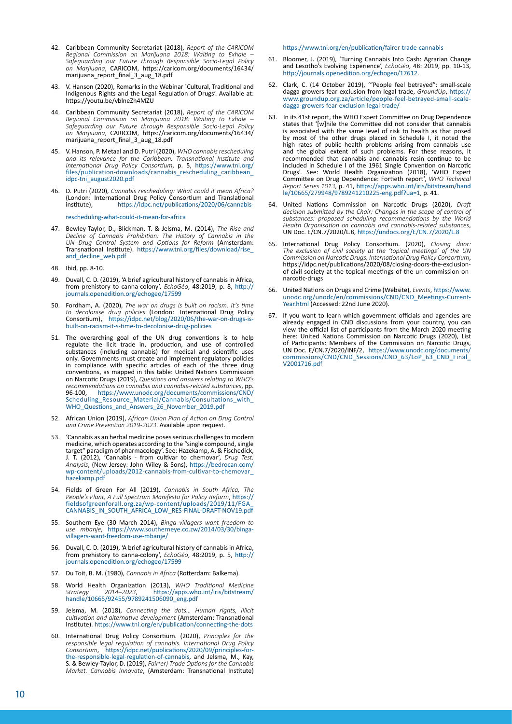- 42. Caribbean Community Secretariat (2018), *Report of the CARICOM Regional Commission on Marijuana 2018: Waiting to Exhale – Safeguarding our Future through Responsible Socio-Legal Policy on Marjiuana*, CARICOM, https://caricom.org/documents/16434/ marijuana\_report\_final\_3\_aug\_18.pdf
- V. Hanson (2020), Remarks in the Webinar 'Cultural, Traditional and Indigenous Rights and the Legal Regulation of Drugs'. Available at: https://youtu.be/vblneZh4MZU
- 44. Caribbean Community Secretariat (2018), *Report of the CARICOM Regional Commission on Marijuana 2018: Waiting to Exhale Safeguarding our Future through Responsible Socio-Legal Policy on Marjiuana*, CARICOM, https://caricom.org/documents/16434/ marijuana\_report\_final\_3\_aug\_18.pdf
- 45. V. Hanson, P. Metaal and D. Putri (2020), *WHO cannabis rescheduling and its relevance for the Caribbean. Transnational Institute and International Drug Policy Consortium*, p. 5, [https://www.tni.org/](https://www.tni.org/files/publication-downloads/cannabis_rescheduling_caribbean_idpc-tni_august2020.pdf) [files/publication-downloads/cannabis\\_rescheduling\\_caribbean\\_](https://www.tni.org/files/publication-downloads/cannabis_rescheduling_caribbean_idpc-tni_august2020.pdf) [idpc-tni\\_august2020.pdf](https://www.tni.org/files/publication-downloads/cannabis_rescheduling_caribbean_idpc-tni_august2020.pdf)
- 46. D. Putri (2020), *Cannabis rescheduling: What could it mean Africa?*  (London: International Drug Policy Consortium and Translational<br>institute), https://idpc.net/publications/2020/06/cannabishttps://idpc.net/publications/2020/06/cannabis-

rescheduling-what-could-it-mean-for-africa

- 47. Bewley-Taylor, D., Blickman, T. & Jelsma, M. (2014), *The Rise and Decline of Cannabis Prohibition: The History of Cannabis in the UN Drug Control System and Options for Reform* (Amsterdam: Transnational Institute). [https://www.tni.org/files/download/rise\\_](https://www.tni.org/files/download/rise_and_decline_web.pdf) [and\\_decline\\_web.pdf](https://www.tni.org/files/download/rise_and_decline_web.pdf)
- 48. Ibid, pp. 8-10.
- 49. Duvall, C. D. (2019), 'A brief agricultural history of cannabis in Africa, from prehistory to canna-colony', *EchoGéo*, 48:2019, p. 8, [http://](http://journals.openedition.org/echogeo/17599) [journals.openedition.org/echogeo/17599](http://journals.openedition.org/echogeo/17599)
- 50. Fordham, A. (2020), *The war on drugs is built on racism. It's time to decolonise drug policies* (London: International Drug Policy Consortium), https://idpc.net/blog/2020/06/the-war-on-drugs-isbuilt-on-racism-it-s-time-to-decolonise-drug-policies
- 51. The overarching goal of the UN drug conventions is to help regulate the licit trade in, production, and use of controlled substances (including cannabis) for medical and scientific uses only. Governments must create and implement regulatory policies in compliance with specific articles of each of the three drug conventions, as mapped in this table: United Nations Commission on Narcotic Drugs (2019), *Questions and answers relating to WHO's recommendations on cannabis and cannabis-related substances*, pp. 96-100, [https://www.unodc.org/documents/commissions/CND/](https://www.unodc.org/documents/commissions/CND/Scheduling_Resource_Material/Cannabis/Consultations_with_WHO_Questions_and_Answers_26_November_2019.pdf) [Scheduling\\_Resource\\_Material/Cannabis/Consultations\\_with\\_](https://www.unodc.org/documents/commissions/CND/Scheduling_Resource_Material/Cannabis/Consultations_with_WHO_Questions_and_Answers_26_November_2019.pdf) [WHO\\_Questions\\_and\\_Answers\\_26\\_November\\_2019.pdf](https://www.unodc.org/documents/commissions/CND/Scheduling_Resource_Material/Cannabis/Consultations_with_WHO_Questions_and_Answers_26_November_2019.pdf)
- 52. African Union (2019), *African Union Plan of Action on Drug Control and Crime Prevention 2019-2023*. Available upon request.
- 53. 'Cannabis as an herbal medicine poses serious challenges to modern medicine, which operates according to the "single compound, single target" paradigm of pharmacology'. See: Hazekamp, A. & Fischedick, J. T. (2012), 'Cannabis - from cultivar to chemovar', *Drug Test. Analysis*, (New Jersey: John Wiley & Sons), [https://bedrocan.com/](https://bedrocan.com/wp-content/uploads/2012-cannabis-from-cultivar-to-chemovar_hazekamp.pdf) [wp-content/uploads/2012-cannabis-from-cultivar-to-chemovar\\_](https://bedrocan.com/wp-content/uploads/2012-cannabis-from-cultivar-to-chemovar_hazekamp.pdf) [hazekamp.pdf](https://bedrocan.com/wp-content/uploads/2012-cannabis-from-cultivar-to-chemovar_hazekamp.pdf)
- 54. Fields of Green For All (2019), *Cannabis in South Africa, The People's Plant, A Full Spectrum Manifesto for Policy Reform*, [https://](https://fieldsofgreenforall.org.za/wp-content/uploads/2019/11/FGA_CANNABIS_IN_SOUTH_AFRICA_LOW_RES-FINAL-DRAFT-NOV19.pdf) [fieldsofgreenforall.org.za/wp-content/uploads/2019/11/FGA\\_](https://fieldsofgreenforall.org.za/wp-content/uploads/2019/11/FGA_CANNABIS_IN_SOUTH_AFRICA_LOW_RES-FINAL-DRAFT-NOV19.pdf) [CANNABIS\\_IN\\_SOUTH\\_AFRICA\\_LOW\\_RES-FINAL-DRAFT-NOV19.pdf](https://fieldsofgreenforall.org.za/wp-content/uploads/2019/11/FGA_CANNABIS_IN_SOUTH_AFRICA_LOW_RES-FINAL-DRAFT-NOV19.pdf)
- 55. Southern Eye (30 March 2014), *Binga villagers want freedom to use mbanje*, [https://www.southerneye.co.zw/2014/03/30/binga](https://www.southerneye.co.zw/2014/03/30/binga-villagers-want-freedom-use-mbanje/)[villagers-want-freedom-use-mbanje/](https://www.southerneye.co.zw/2014/03/30/binga-villagers-want-freedom-use-mbanje/)
- 56. Duvall, C. D. (2019), 'A brief agricultural history of cannabis in Africa, from prehistory to canna-colony', *EchoGéo*, 48:2019, p. 5, [http://](http://journals.openedition.org/echogeo/17599) [journals.openedition.org/echogeo/17599](http://journals.openedition.org/echogeo/17599)
- 57. Du Toit, B. M. (1980), *Cannabis in Africa* (Rotterdam: Balkema).
- 58. World Health Organization (2013), *WHO Traditional Medicine Strategy 2014–2023*, [https://apps.who.int/iris/bitstream/](https://apps.who.int/iris/bitstream/handle/10665/92455/9789241506090_eng.pdf) [handle/10665/92455/9789241506090\\_eng.pdf](https://apps.who.int/iris/bitstream/handle/10665/92455/9789241506090_eng.pdf)
- 59. Jelsma, M. (2018), *Connecting the dots… Human rights, illicit cultivation and alternative development* (Amsterdam: Transnational Institute). <https://www.tni.org/en/publication/connecting-the-dots>
- 60. International Drug Policy Consortium. (2020), *Principles for the responsible legal regulation of cannabis. International Drug Policy Consortium*, [https://idpc.net/publications/2020/09/principles-for](https://idpc.net/publications/2020/09/principles-for-the-responsible-legal-regulation-of-cannabis)[the-responsible-legal-regulation-of-cannabis](https://idpc.net/publications/2020/09/principles-for-the-responsible-legal-regulation-of-cannabis), and Jelsma, M., Kay, S. & Bewley-Taylor, D. (2019), *Fair(er) Trade Options for the Cannabis Market. Cannabis Innovate*, (Amsterdam: Transnational Institute)

#### <https://www.tni.org/en/publication/fairer-trade-cannabis>

- 61. Bloomer, J. (2019), 'Turning Cannabis Into Cash: Agrarian Change and Lesotho's Evolving Experience', *EchoGéo*, 48: 2019, pp. 10-13, <http://journals.openedition.org/echogeo/17612>.
- 62. Clark, C. (14 October 2019), '"People feel betrayed": small-scale dagga growers fear exclusion from legal trade, *GroundUp*, [https://](https://www.groundup.org.za/article/people-feel-betrayed-small-scale-dagga-growers-fear-exclusion-legal-trade/) [www.groundup.org.za/article/people-feel-betrayed-small-scale](https://www.groundup.org.za/article/people-feel-betrayed-small-scale-dagga-growers-fear-exclusion-legal-trade/)[dagga-growers-fear-exclusion-legal-trade/](https://www.groundup.org.za/article/people-feel-betrayed-small-scale-dagga-growers-fear-exclusion-legal-trade/)
- 63. In its 41st report, the WHO Expert Committee on Drug Dependence states that '[w]hile the Committee did not consider that cannabis is associated with the same level of risk to health as that posed by most of the other drugs placed in Schedule I, it noted the by most of the other anage placed in centerate i, it hoted the<br>high rates of public health problems arising from cannabis use and the global extent of such problems. For these reasons, it recommended that cannabis and cannabis resin continue to be included in Schedule I of the 1961 Single Convention on Narcotic Drugs'. See: World Health Organization (2018), 'WHO Expert Committee on Drug Dependence: Fortieth report', *WHO Technical Report Series 1013*, p. 41, [https://apps.who.int/iris/bitstream/hand](https://apps.who.int/iris/bitstream/handle/10665/279948/9789241210225-eng.pdf?ua=1) [le/10665/279948/9789241210225-eng.pdf?ua=1,](https://apps.who.int/iris/bitstream/handle/10665/279948/9789241210225-eng.pdf?ua=1) p. 41.
- 64. United Nations Commission on Narcotic Drugs (2020), *Draft decision submitted by the Chair: Changes in the scope of control of substances: proposed scheduling recommendations by the World Health Organisation on cannabis and cannabis-related substances*, UN Doc. E/CN.7/2020/L.8, <https://undocs.org/E/CN.7/2020/L.8>
- 65. International Drug Policy Consortium. (2020), *Closing door: The exclusion of civil society at the 'topical meetings' of the UN Commission on Narcotic Drugs, International Drug Policy Consortium*, https://idpc.net/publications/2020/08/closing-doors-the-exclusionof-civil-society-at-the-topical-meetings-of-the-un-commission-onnarcotic-drugs
- 66. United Nations on Drugs and Crime (Website), *Events*, [https://www.](https://www.unodc.org/unodc/en/commissions/CND/CND_Meetings-Current-Year.html) [unodc.org/unodc/en/commissions/CND/CND\\_Meetings-Current-](https://www.unodc.org/unodc/en/commissions/CND/CND_Meetings-Current-Year.html)[Year.html](https://www.unodc.org/unodc/en/commissions/CND/CND_Meetings-Current-Year.html) (Accessed: 22nd June 2020).
- 67. If you want to learn which government officials and agencies are already engaged in CND discussions from your country, you can view the official list of participants from the March 2020 meeting here: United Nations Commission on Narcotic Drugs (2020), List of Participants: Members of the Commission on Narcotic Drugs, UN Doc. E/CN.7/2020/INF/2, [https://www.unodc.org/documents/](https://www.unodc.org/documents/commissions/CND/CND_Sessions/CND_63/LoP_63_CND_Final_V2001716.pdf) [commissions/CND/CND\\_Sessions/CND\\_63/LoP\\_63\\_CND\\_Final\\_](https://www.unodc.org/documents/commissions/CND/CND_Sessions/CND_63/LoP_63_CND_Final_V2001716.pdf) [V2001716.pdf](https://www.unodc.org/documents/commissions/CND/CND_Sessions/CND_63/LoP_63_CND_Final_V2001716.pdf)